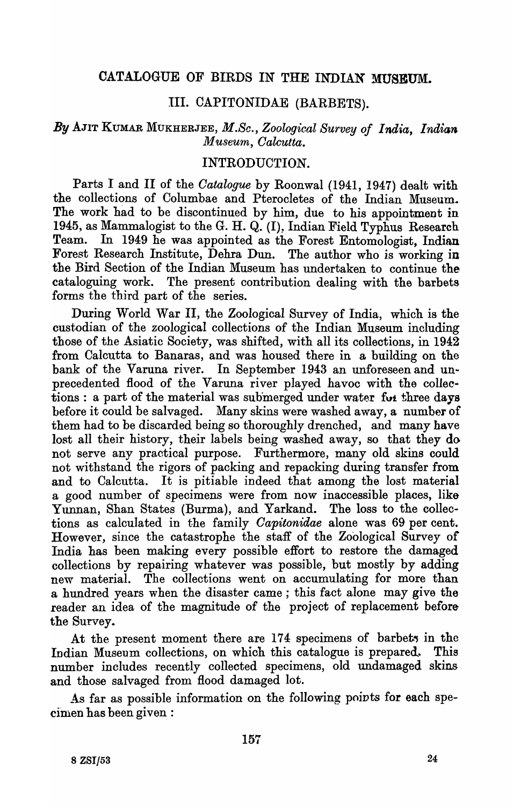## CATALOGUE OF BIRDS IN THE INDIAN MUSEUM.

## III. CAPITONIDAE (BARBETS).

## *By* AJIT KUMAR MUKHERJEE, *M.So., Zoological Survey of India, Indian Museum, Oalcutta.*

## INTRODUCTION.

Parts I and II of the *Oatalogue* by Roonwal (1941, 1947) dealt with the collections of Columbae and Pterocletes of the Indian Museum. The work had to be discontinued by him, due to his appointment in 1945, as Mammalogist to the G. H. Q. (I), Indian Field Typhus Research Team. In 1949 he was appointed as the Forest Entomologist, Indian Forest Research Institute, Dehra Dun. The author who is working in the Bird Section of the Indian Museum has undertaken to continue the cataloguing work. The present contribution dealing with the barbets forms the third part of the series.

During World War II, the Zoological Survey of India, which is the custodian of the zoological collections of the Indian Museum including those of the Asiatic Society, was shifted, with all its collections, in 1942 from Calcutta to Banaras, and was housed there in a building on the bank of the Varuna river. In September 1943 an unforeseen and unprecedented Hood of the Varuna river played havoc with the collections : a part of the material was submerged under water for three days before it could be salvaged. Many skins were washed away, a number of them had to be discarded being so thoroughly drenched, and many have lost all their history, their labels being washed away, so that they do not serve any practical purpose. Furthermore, many old skins could not withstand the rigors of packing and repacking during transfer from and to Calcutta. It is pitiable indeed that among the lost material a good number of specimens were from now inaccessible places, like Yunnan, Shan States (Burma), and Yarkand. The loss to the collections as calculated in the family *Oapitoniaae* alone was 69 per cent. However, since the catastrophe the staff of the Zoological Survey of India has been making every possible effort to restore the damaged collections by repairing whatever was possible, but mostly by adding new material. The collections went on accumulating for more than a hundred years when the disaster came ; this fact alone may give the reader an idea of the magnitude of the project of replacement before the Survey.

At the present moment there are 174 specimens of barbets in the Indian Museum collections, on which this catalogue is prepared. This number includes recently collected specimens, old undamaged skins and those salvaged from flood damaged lot.

As far as possible information on the following points for each specimen has been given :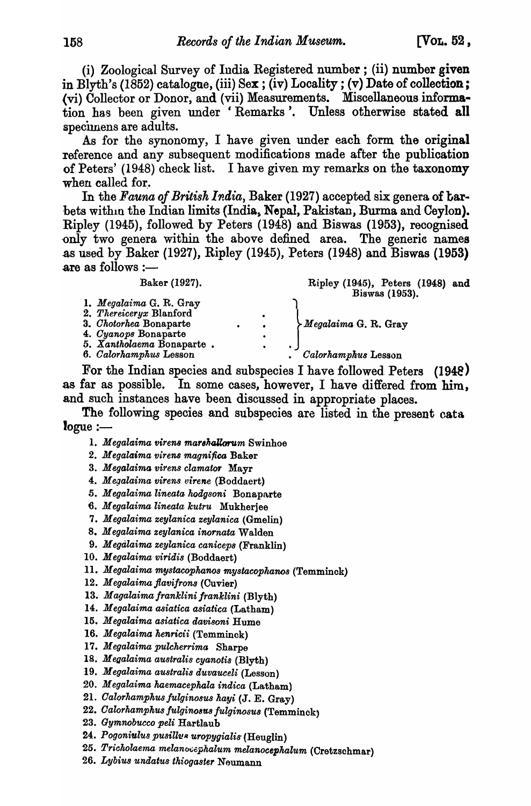(i) Zoological Survey of India Registered number; (ii) number given in Blyth's (1852) catalogue, (iii)  $Sex$ ; (iv) Locality; (v) Date of collection; (vi) Collector or Donor, and (vii) Measurements. Miscellaneous information has been given under 'Remarks '. Unless otherwise stated all specimens are adults.

As for the synonomy, I have given under each form the original reference and any subsequent modifications made after the publication of Peters' (1948) check list. I have given my remarks on the taxonomy when called for.

In the *Fauna of British India*, Baker (1927) accepted six genera of barbets within the Indian limits (India, Nepal, Pakistan, Burma and Ceylon). Ripley (1945), followed by Peters (1948) and Biswas (1953), recognised only two genera within the above defined area. The generic names .as used by Baker (1927), Ripley (1945), Peters (1948) and Biswas (1953) are as follows :-

| Baker (1927).                                                                                                                                               |           |                          | Ripley (1945), Peters (1948) and<br>Biswas (1953).              |
|-------------------------------------------------------------------------------------------------------------------------------------------------------------|-----------|--------------------------|-----------------------------------------------------------------|
| 1. Megalaima G. R. Gray<br>2. Thereiceryx Blanford<br>3. Chotorhea Bonaparte<br>4. Cyanops Bonaparte<br>5. Xantholaema Bonaparte.<br>6. Calorhamphus Lesson | $\bullet$ | ٠<br>$\bullet$<br>٠<br>٠ | $\sum_{\alpha}^{n} Megalaima G. R. Gray$<br>Calorhamphus Lesson |

For the Indian species and subspecies I have followed. Peters (194e) as far as possible. In some cases, however, I have differed from him, and such instances have been discussed in appropriate places.

The following species and subspecies are listed in the present cata  $logue :=$ 

- 1. *Megalaima virens marshallorum* Swinhoe
- *2. M egala,ima v·irens magnifica* Baker
- 3. Megalaima virens clamator Mayr
- 4. *Megalaima virens virene* (Boddaert)
- 5. *Megalaima lineata hodgsoni* Bonaparte
- 6. *Megalaima lineata kutru* Mukherjee
- *7. M egalaima zeyZanica zeyZanica* (Gmelin)
- *8. M egalaima zeylanica inornata* Walden
- 9. *Megalaima zeylanica caniceps (Franklin)*
- *10. Megalaima viridis* (Boddaert)
- 11. *Megalaima mystacophanos mystacophanos* (Temminck)
- *12. M egalaima jlavijrons* (Ouvier)
- 13. Magalaima franklini franklini *(Blyth)*
- 14. *Megalaima asiatica asiatica* (Latham)
- 15. Megalaima asiatica davisoni Hume
- 16. Megalaima henricii (Temminck)
- 17. *Megalaima pulcherrima* Sharpe
- *18. M eaalaima australis cyanotis* (Blyth)
- 19. *Megalaima australis duvauceli* (Lesson)
- 20. Megalaima haemacephala indica (Latham)
- 21. Calorhamphus fulginosus hayi (J. E. Gray)
- 22. Calorhamphus fulginosus fulginosus (Temminck)
- 23. *Gymnobucco peli* Hartlaub
- *24. Pogoni'Ulus pusilluR uropygialis* (Heuglin)
- $25.$  Tricholaema melanocephalum melanocephalum *(Cretzschmar)*
- *26. Lybius undatu8 thiogaster* Neumann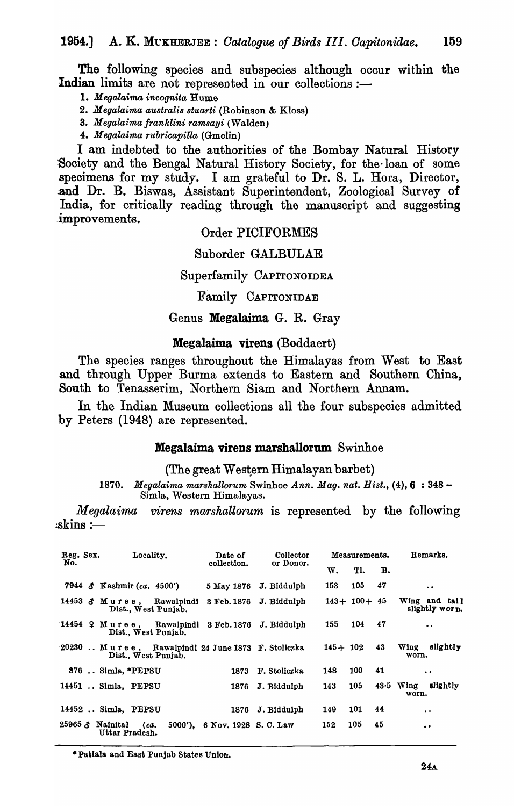The following species and subspecies although occur within the Indian limits are not represented in our collections  $:$ 

*1. Megalaima incognita* Hume

*2. Megalaima australis stuarti* (Robinson & Kloss)

*3. Megalaima franklini ramsayi* (Walden)

*4. Megalaima r'ltbricapilla* (Gmelin)

I am indebted to the authorities of the Bombay Natural History !Society and the Bengal Natural History Society, for the· loan of some specimens for my study. I am grateful to Dr. S. L. Hora, Director, and Dr. B. Biswas, Assistant Superintendent, Zoological Survey of India, for critically reading through the manuscript and suggesting improvements.

#### Order PICIFORMES

Suborder GALBULAE

#### Superfamily CAPITONOIDEA

Family CAPITONIDAE

#### Genus Megalaima G. R. Gray

#### Megalaima virens (Boddaert)

The species ranges throughout the Himalayas from West to East and through Upper Burma extends to Eastern and Southern China, South to Tenasserim, Northern Siam and Northern Annam.

In the Indian Museum collections all the four subspecies admitted by Peters (1948) are represented.

#### Megalaima virens marshallorum. Swinhoe

 $(The$  great Western Himalayan barbet)

*1870. Megalaima marshallorum* Swinhoe *Ann. Mag. nat. Hist.,* (4),6 : 348- Simla, Western Himalayas.

*Megalaima virens marshallorum* is represented by the following  $:$ skins  $:$   $-$ 

| Reg. Sex.<br>No. | Locality.                                                                | Date of<br>collection.        | Collector<br>or Donor.  |             | Measurements.    |    | Remarks.                         |
|------------------|--------------------------------------------------------------------------|-------------------------------|-------------------------|-------------|------------------|----|----------------------------------|
|                  |                                                                          |                               |                         | w.          | Tl.              | в. |                                  |
|                  | 7944 $\delta$ Kashmir (ca. 4500')                                        | 5 May 1876                    | J. Biddulph             | 153         | 105              | 47 | $\cdot$ $\cdot$                  |
|                  | 14453 3 Muree, Rawalpindi<br>Dist., West Puniab.                         |                               | 3 Feb. 1876 J. Biddulph |             | $143 + 100 + 45$ |    | Wing and tail<br>slightly worn.  |
|                  | $14454 \oplus M$ uree, Rawalpindi 3 Feb. 1876<br>Dist., West Punjab.     |                               | J. Biddulph             | 155         | 104              | 47 | $\bullet$                        |
|                  | 20230 Muree, Rawalpindi 24 June 1873 F. Stoliczka<br>Dist., West Punjab. |                               |                         | $145 + 102$ |                  | 43 | slightly<br>Wing<br>worn.        |
|                  | 876  Simla, *PEPSU                                                       | 1873                          | F. Stoliczka            | 148         | 100              | 41 | $\cdot$ $\cdot$                  |
|                  | 14451  Simla, PEPSU                                                      | 1876                          | J. Biddulph             | 143         | 105              |    | slightly<br>$43.5$ Wing<br>worn. |
|                  | 14452  Simla, PEPSU                                                      | 1876                          | J. Biddulph             | 149         | 101              | 44 | $\ddot{\phantom{a}}$             |
|                  | 25965 $\delta$ Nainital<br>(ca.<br>Uttar Pradesh.                        | 5000'), 6 Nov. 1928 S. C. Law |                         | 152         | 105              | 45 | $\bullet$                        |

\*Patiala and East Punjab States Union.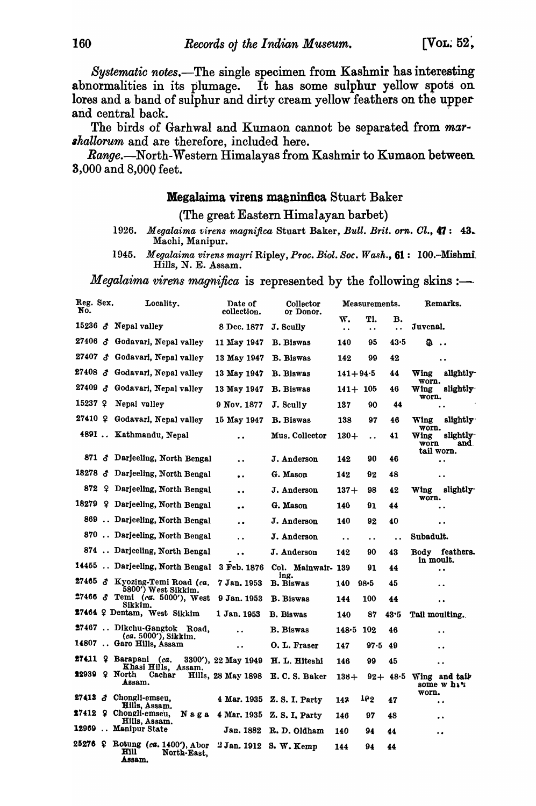*Systematic notes.-The* single specimen from Kashmir has interesting abnormalities in its plumage. It has some sulphur yellow spots on lores and a band of sulphur and dirty cream yellow feathers on the upper and central back. .

The birds of Garhwal and Kumaon cannot be separated from *mar·*  shallorum and are therefore, included here.

*Range.*—North-Western Himalayas from Kashmir to Kumaon between 3,000 and 8,000 feet.

#### Megalaima virens maaninfica Stuart Baker

#### (The great Eastern Himalayan barbet)

- 1926. *Megalaima virens magnifica* Stuart Baker, *Bull. Brit. orn. Cl.*, 47: 43.<br>Machi, Manipur.
- 1945. Megalaima virens mayri Ripley, Proc. Biol. Soc. Wash., 61: 100.-Mishmi. Hills, N. E. Assam.

#### *Megalaima virens magnifica* is represented by the following skins :-

| Reg. Sex.<br>No. | Locality.                                                                | Date of<br>collection. | Collector<br>or Donor.     |                            | Measurements.               |                            | Remarks.                                        |
|------------------|--------------------------------------------------------------------------|------------------------|----------------------------|----------------------------|-----------------------------|----------------------------|-------------------------------------------------|
|                  | 15236 $\delta$ Nepal valley                                              | 8 Dec. 1877            | J. Scully                  | w.<br>$\ddot{\phantom{a}}$ | Tl.<br>$\ddot{\phantom{a}}$ | в.<br>$\ddot{\phantom{a}}$ | Juvenal.                                        |
|                  | 27406 & Godavari, Nepal valley                                           | 11 May 1947            | <b>B.</b> Biswas           | 140                        | 95                          | 43.5                       | ഒ                                               |
|                  | 27407 & Godavari, Nepal valley                                           | 13 May 1947            | <b>B.</b> Biswas           | 142                        | 99                          | 42                         | $\ddot{\phantom{0}}$                            |
|                  | 27408 & Godavari, Nepal valley                                           | 13 May 1947            | <b>B.</b> Biswas           | $141 + 94.5$               |                             | 44                         | slightly-<br>Wing                               |
|                  | 27409 & Godavari, Nepal valley                                           | 13 May 1947            | <b>B.</b> Biswas           | $141 + 105$                |                             | 46                         | worn.<br>slightly<br>Wing<br>worn.              |
| $15237$ Q        | Nepal valley                                                             | 9 Nov. 1877            | J. Scully                  | 137                        | 90                          | 44                         |                                                 |
| $27410$ $\Omega$ | Godavari, Nepal valley                                                   | 15 May 1947            | <b>B.</b> Biswas           | 138                        | 97                          | 46                         | Wing<br>slightly                                |
|                  | 4891  Kathmandu, Nepal                                                   | $\ddot{\phantom{0}}$   | Mus. Collector             | $130 +$                    | $\ddot{\phantom{a}}$        | 41                         | worn.<br>slightly<br>Wing<br>worn<br>and.       |
|                  | 871 & Darjeeling, North Bengal                                           | $\ddot{\phantom{0}}$   | J. Anderson                | 142                        | 90                          | 46                         | tail worn.<br>$\ddot{\phantom{0}}$              |
|                  | 18278 & Darjeeling, North Bengal                                         | $\ddot{\phantom{0}}$   | G. Mason                   | 142                        | 92                          | 48                         | $\ddot{\phantom{0}}$                            |
|                  | 872 9 Darjeeling, North Bengal                                           | $\ddot{\phantom{0}}$   | J. Anderson                | $137 +$                    | 98                          | 42                         | slightly <sup>-</sup><br>Wing                   |
| 18279            | 2 Darjeeling, North Bengal                                               | $\ddot{\phantom{0}}$   | G. Mason                   | 140                        | 91                          | 44                         | worn.<br>$\cdot$                                |
|                  | 869  Darjeeling, North Bengal                                            | $\ddot{\phantom{0}}$   | J. Anderson                | 140                        | 92                          | 40                         | $\ddot{\phantom{0}}$                            |
|                  | 870  Darjeeling, North Bengal                                            | $\ddot{\phantom{0}}$   | J. Anderson                | $\ddot{\phantom{a}}$       | $\ddot{\phantom{a}}$        | $\ddot{\phantom{a}}$       | Subadult.                                       |
|                  | 874  Darjeeling, North Bengal                                            | $\ddot{\phantom{a}}$   | J. Anderson                | 142                        | 90                          | 43                         | Body feathers.<br>in moult.                     |
|                  | 14455  Darjeeling, North Bengal                                          | 3 Feb. 1876            | Col. Mainwair- 139<br>ing. |                            | 91                          | 44                         | $\ddot{\phantom{0}}$                            |
|                  | 27465 & Kyozing-Temi Road (ca.<br>5800') West Sikkim.                    | 7 Jan. 1953            | <b>B.</b> Biswas           | 140                        | $98 - 5$                    | 45                         | $\ddot{\phantom{0}}$                            |
|                  | 27466 & Temi (ca. 5000'), West<br>Sikkim.                                | 9 Jan. 1953            | <b>B.</b> Biswas           | 144                        | 100                         | 44                         | $\ddot{\phantom{0}}$                            |
|                  | 27464 9 Dentam, West Sikkim                                              | 1 Jan. 1953            | <b>B.</b> Biswas           | 140                        | 87                          | 43.5                       | Tail moulting.                                  |
|                  | 27467  Dikchu-Gangtok Road,<br>(ca. 5000'), Sikkim.                      | $\ddot{\phantom{a}}$   | <b>B.</b> Biswas           | 148.5                      | 102                         | 46                         | $\ddot{\phantom{0}}$                            |
|                  | 14807  Garo Hills, Assam                                                 | $\ddot{\phantom{a}}$   | O. L. Fraser               | 147                        | 97.5                        | 49                         | $\cdot$ .                                       |
|                  | 27411 9 Barapani (ca.<br>Khasi Hills, Assam.                             | 3300'), 22 May 1949    | H. L. Hiteshi              | 146                        | 99                          | 45                         | $\ddot{\phantom{a}}$                            |
| 22939 ? North    | Cachar<br>Assam.                                                         | Hills, 28 May 1898     | E. C. S. Baker             | $138+$                     |                             |                            | $92+48.5$ Wing and tail<br>some w ha'i<br>worn. |
|                  | 27413 & Chongli-emseu,<br>Hills, Assam.                                  |                        | 4 Mar. 1935 Z.S. I. Party  | 143                        | 162                         | 47                         | $\bullet$                                       |
|                  | 27412 9 Chongli-emseu,<br>Naga<br>Hills, Assam.                          |                        | 4 Mar. 1935 Z.S. I. Party  | 146                        | 97                          | 48                         | $\ddot{\phantom{1}}$                            |
|                  | 12969  Manipur State                                                     | Jan. 1882              | R. D. Oldham               | 140                        | 94                          | 44                         | $\bullet$                                       |
|                  | 25276 & Rotung (ca. 1400'), Abor<br><b>HIII</b><br>North-East,<br>Assam. |                        | 2 Jan. 1912 S. W. Kemp     | 144                        | 94                          | 44                         |                                                 |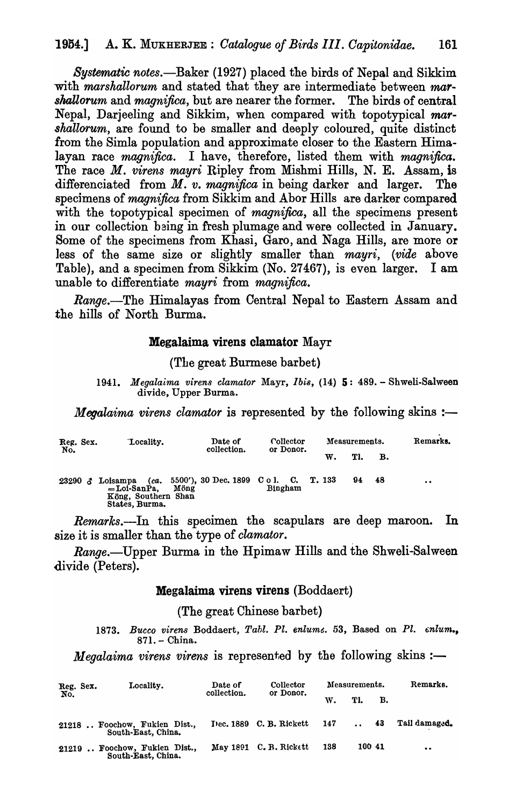Systematic notes.—Baker (1927) placed the birds of Nepal and Sikkim with *marshallorum* and stated that they are intermediate between *mar*-*8haUorum* and *magnifica,* but are nearer the former. The birds of central Nepal, Darjeeling and Sikkim, when compared with topotypical *mar-*shallorum, are found to be smaller and deeply coloured, quite distinct from the Simla population and approximate closer to the Eastern Himalayan race *magnifica.* I have, therefore, listed them with *magnifica.*  The race *M. virens mayri* Ripley from Mishmi Hills, N. E. Assam, is differenciated from *M. v. magnifica* in being darker and larger. The specimens of *magnifica* from Sikkim and Abor Hills are darker compared with the topotypical specimen of *magnifica,* all the specimens present in our collection baing in fresh plumage and were collected in January. Some of the specimens from Khasi, Garo, and Naga Hills, are more or less of the same size or slightly smaller than *mayri, (vide* above Table), and a specimen from Sikkim (No. 27467), is even larger. I am unable to differentiate *mayri* from *magnifica.* 

*Range.-The* Himalayas from Central Nepal to Eastern Assam and the hills of North Burma.

## Megalaima virens clamator Mayr

(The great Burmese barbet)

*1941. Megalaima virens clamator* Mayr, *Ibi8,* (14) 5: 489. - Shweli.Salween divide, Upper Burma.

*Megalaima virens clamator* is represented by the following skins :-

| Reg. Sex.<br>No. | Locality.                                                                   | Date of<br>collection.                        | Collector<br>or Donor. |    | Measurements. |      | Remarks.  |
|------------------|-----------------------------------------------------------------------------|-----------------------------------------------|------------------------|----|---------------|------|-----------|
|                  |                                                                             |                                               |                        | w. | Tl.           | в.   |           |
| 23290<br>δ.      | (ca.<br>Loisampa<br>$=$ Loi-SanPa.<br>Köng, Southern Shan<br>States, Burma. | 5500'), 30 Dec. 1899 C o l. C. T. 133<br>Möng | Bingham                |    | 94            | - 48 | $\bullet$ |

*Remarks.*--In this specimen the scapulars are deep maroon. In size it is smaller than the type of *clamator.* 

*Range.-Upper* Burma in the Hpimaw Hills and the Shweli-Salween divide (Peters).

#### Megalaima virens virens (Boddaert)

(The great Chinese barbet)

1873. Bucco virens Boddaert, Tabl. Pl. enlume. 53, Based on Pl. enlum., 871. - China.

*Megalaima virens virens* is represented by the following skins :-

| Reg. Sex. | Locality.                                           | Date of<br>collection. | Collector                   | Measurements. |             |        | Remarks.      |
|-----------|-----------------------------------------------------|------------------------|-----------------------------|---------------|-------------|--------|---------------|
| No.       |                                                     |                        | or Donor.                   | W.            | TI.         | в.     |               |
|           | 21218  Foochow, Fukien Dist.,<br>South-East, China. |                        | Dec. 1889 C. B. Rickett 147 |               | $\ldots$ 43 |        | Tail damaged. |
|           | 21219  Foochow, Fukien Dist.,<br>South-East, China. |                        | May 1891 C. B. Rickett      | 138           |             | 100 41 | $\bullet$     |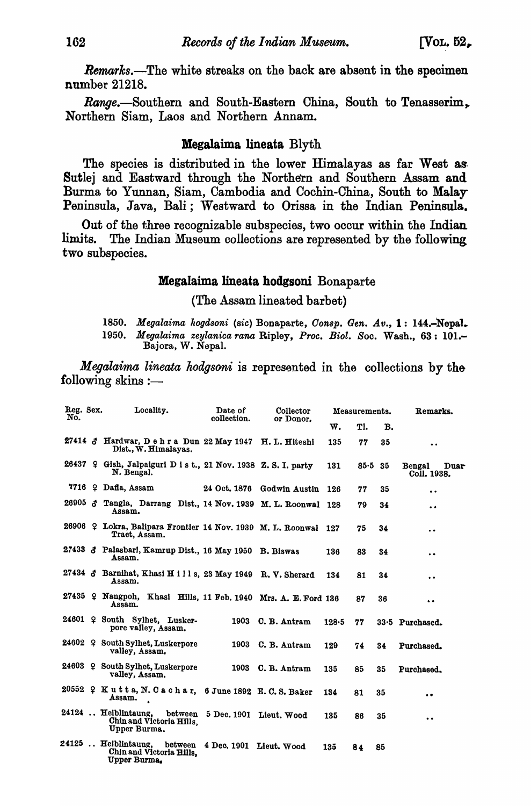*Remarks.*—The white streaks on the back are absent in the specimen number 21218.

Range.-Southern and South-Eastern China, South to Tenasserim, Northern Siam, Laos and Northern Annam.

#### Megalaima lineata Blyth

The species is distributed in the lower Himalayas as far West as: Sutlej and Eastward through the Northern and Southern Assam and. Burma to Yunnan, Siam, Cambodia and Cochin-China, South to Malay Peninsula, Java, Bali; Westward to Orissa in the Indian Peninsula.

Out of the three recognizable subspecies, two occur within the Indian limits. The Indian Museum collections are represented by the following two subspecies.

## Megalaima Iineata hodgsoni Bonaparte

(The Assam Iineated barbet)

1850. Megalaima hogdsoni (sic) Bonaparte, *Consp. Gen. Av.*, 1: 144.-Nepal. *1950. Megalaima zeylanica rana* Ripley, *Proc. Biol.* 80c. Wash., 63: 101.- Bajora, W. Nepal.

*Megalaima lineata hodgsoni* is represented in the collections by the following skins  $:=$ 

| Reg. Sex.<br>No. | Locality.                                                                    | Date of<br>collection.          | Collector<br>or Donor.     |           | Measurements. |    | Remarks.                      |
|------------------|------------------------------------------------------------------------------|---------------------------------|----------------------------|-----------|---------------|----|-------------------------------|
|                  |                                                                              |                                 |                            | w.        | Tl.           | В. |                               |
|                  | 27414 & Hardwar, Dehra Dun 22 May 1947 H. L. Hiteshi<br>Dist., W. Himalayas. |                                 |                            | 135       | 77            | 35 | $\bullet$                     |
|                  | 26437 9 Gish, Jalpaiguri D ist., 21 Nov. 1938 Z.S.I. party<br>N. Bengal.     |                                 |                            | 131       | $85 - 5$ 35   |    | Bengal<br>Duar<br>Coll. 1938. |
|                  | $7716$ ? Dafla, Assam                                                        |                                 | 24 Oct. 1876 Godwin Austin | 126       | 77            | 35 | $\bullet$                     |
|                  | 26905 & Tangla, Darrang Dist., 14 Nov. 1939 M. L. Roonwal 128<br>Assam.      |                                 |                            |           | 79            | 34 | $\bullet$                     |
|                  | 26906 9 Lokra, Balipara Frontier 14 Nov. 1939 M. L. Roonwal<br>Tract, Assam. |                                 |                            | 127       | 75            | 34 | $\ddot{\phantom{a}}$          |
|                  | 27433 & Palasbari, Kamrup Dist., 16 May 1950 B. Biswas<br>Assam.             |                                 |                            | 136       | 83            | 34 | $\bullet$                     |
|                  | 27434 & Barnihat, Khasi H i l l s, 23 May 1949 R. V. Sherard<br>Assam.       |                                 |                            | 134       | 81            | 34 | $\ddot{\phantom{0}}$          |
|                  | 27435 9 Nangpoh, Khasi Hills, 11 Feb. 1940 Mrs. A. E. Ford 136<br>Assam.     |                                 |                            |           | 87            | 36 | $\bullet\bullet$              |
|                  | 24601 ? South Sylhet, Lusker-<br>pore valley, Assam.                         | 1903                            | C. B. Antram               | $128 - 5$ | 77            |    | 33.5 Purchased.               |
|                  | 24602 9 South Sylhet, Luskerpore<br>valley, Assam.                           |                                 | 1903 C. B. Antram          | 129       | 74            | 34 | Purchased.                    |
|                  | 24603 9 South Sylhet, Luskerpore<br>valley, Assam.                           |                                 | 1903 C. B. Antram          | 135       | 85            | 35 | Purchased.                    |
|                  | 20552 ? Kutta, N. Cachar, 6 June 1892 E. C. S. Baker<br>Assam.               |                                 |                            | 134       | 81            | 35 | $\bullet$                     |
|                  | 24124  Heiblintaung,<br>Chin and Victoria Hills,<br>Upper Burma.             | between 5 Dec. 1901 Lieut. Wood |                            | 135       | 86            | 35 | $\bullet$                     |
|                  | 24125  Heiblintaung,<br>between<br>Chin and Victoria Hills,<br>Upper Burma.  | 4 Dec. 1901 Lieut. Wood         |                            | 135       | 84            | 85 |                               |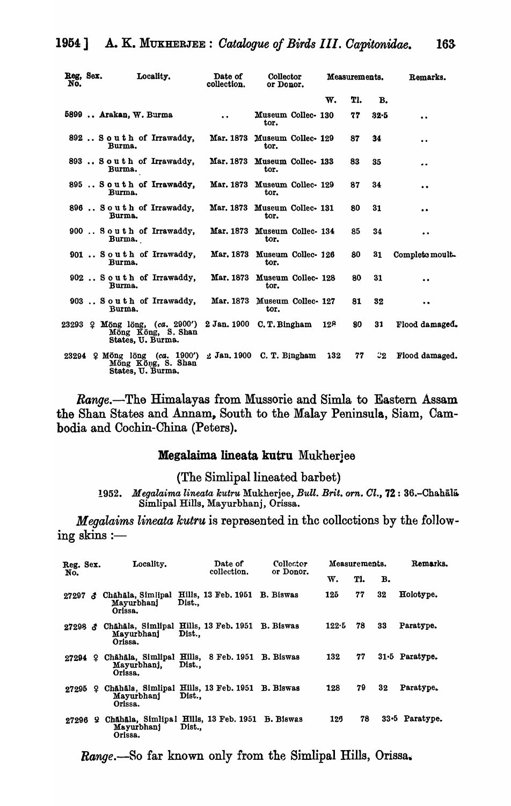| Reg, Sex.<br>No. | Locality.                                                                                                        | Date of<br>collection. | Collector<br>or Donor.               |     | Measurements. |      | Remarks.             |
|------------------|------------------------------------------------------------------------------------------------------------------|------------------------|--------------------------------------|-----|---------------|------|----------------------|
|                  |                                                                                                                  |                        |                                      | w.  | TI.           | в.   |                      |
|                  | 5899  Arakan, W. Burma                                                                                           | $\ddot{\phantom{a}}$   | Museum Collec- 130<br>tor.           |     | 77            | 32-5 | $\bullet$            |
|                  | 892 South of Irrawaddy,<br>Burma.                                                                                |                        | Mar. 1873 Museum Collec- 129<br>tor. |     | 87            | 34   | $\ddot{\phantom{0}}$ |
|                  | 893 South of Irrawaddy.<br>Burma.                                                                                | Mar. 1873              | Museum Collec- 133<br>tor.           |     | 83            | 35   | $\bullet$            |
|                  | 895 South of Irrawaddy,<br>Burma.                                                                                |                        | Mar. 1873 Museum Collec- 129<br>tor. |     | 87            | 34   | $\bullet$            |
|                  | 896 South of Irrawaddy,<br>Burma.                                                                                |                        | Mar. 1873 Museum Collec- 131<br>tor. |     | 80            | 31   | $\bullet$            |
|                  | 900 South of Irrawaddy,<br>Burma.                                                                                |                        | Mar. 1873 Museum Collec- 134<br>tor. |     | 85            | 34   | $\bullet$            |
|                  | 901 South of Irrawaddy.<br>Burma.                                                                                |                        | Mar. 1873 Museum Collec- 126<br>tor. |     | 80            | 31   | Complete moult.      |
|                  | 902 South of Irrawaddy.<br>Burma.                                                                                |                        | Mar. 1873 Museum Collec- 128<br>tor. |     | 80            | 31   | $\bullet$            |
|                  | 903 South of Irrawaddy,<br>Burma.                                                                                |                        | Mar. 1873 Museum Collec- 127<br>tor. |     | 81            | 32   | $\bullet$            |
|                  | 23293 ? Möng löng, (ca. 2900') 2 Jan. 1900 C.T. Bingham 128<br>Möng Köng, S. Shan<br>States, U. Burma.           |                        |                                      |     | 80            | 31   | Flood damaged.       |
|                  | 23294 $\Omega$ Möng löng (ca. 1900') $\Delta$ Jan. 1900 C. T. Bingham<br>Möng Köng, S. Shan<br>States, U. Burma. |                        |                                      | 132 | 77            | ి2 ె | Flood damaged.       |

*Range.-The* Himalayas from Mussorie and Simla to Eastern Assam the Shan States and Annam, South to the Malay Peninsula, Siam, Cambodia and Cochin-China (Peters).

#### Megalaima lineata kutru Mukherjee

(The Simlipal lineated barbet)

1952. *Megalaima lineata kutru* Mukherjee, *Bull. Brit. orn. Cl.*, 72: 36.-Chahala Simlipal Hills, Mayurbhanj, Orissa.

*Megalaims lineata kutru* is represented in the collections by the following skins:-

| Reg. Sex.                 |    | Locality.                                                                |      | Date of<br>collection.     | Collector<br>or Donor. | Measurements. |     |    | Remarks.         |
|---------------------------|----|--------------------------------------------------------------------------|------|----------------------------|------------------------|---------------|-----|----|------------------|
| No.                       |    |                                                                          |      |                            |                        | w.            | Tl. | в. |                  |
| $27297$ đ                 |    | Chahala, Simlipal<br>Mayurbhanj<br>Orissa.                               | Dist | <b>Hills, 13 Feb. 1951</b> | B. Biswas              | 125           | 77  | 32 | Holotype.        |
| $27298 \text{ }$ $\delta$ |    | Chāhāla, Simlipal Hills, 13 Feb. 1951 B. Biswas<br>Mayurbhanj<br>Orissa. | Dist |                            |                        | $122 - 5$     | 78  | 33 | Paratype.        |
| 27294 2                   |    | Chāhāla, Simlipal Hills, 8 Feb. 1951 B. Biswas<br>Mayurbhani.<br>Orissa. | Dist |                            |                        | 132           | 77  |    | $31.5$ Paratype. |
| 27295                     | Ω. | Chāhāla, Simlipal Hills, 13 Feb. 1951 B. Biswas<br>Mayurbhanj<br>Orissa. | Dist |                            |                        | 128           | 79  | 32 | Paratype.        |
| 27296 9                   |    | Chahala, Simlipal Hills, 13 Feb. 1951 B. Biswas<br>Mayurbhani<br>Orissa. | Dist |                            |                        | 126           | 78  |    | 33.5 Paratype.   |

*Range.-So* far known only from the Simlipal Hills, Orissa.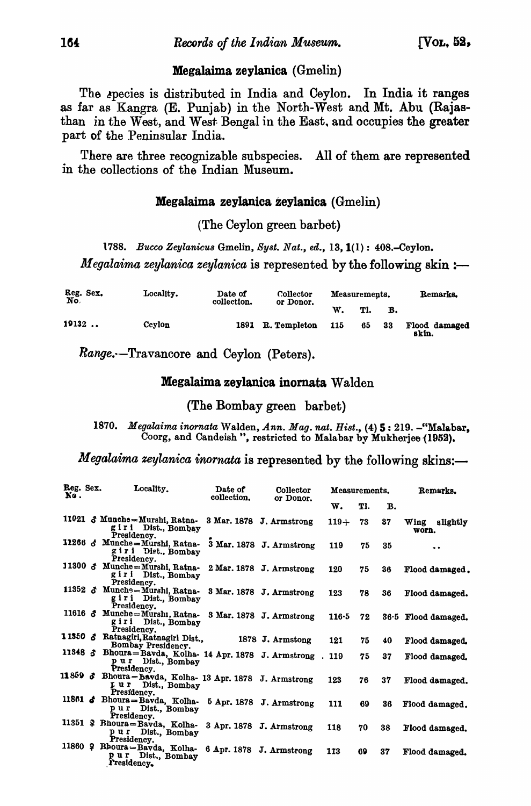#### Megalaima zeylanica (Gmelin)

The species is distributed in India and Ceylon. In India it ranges as far as Kangra (E. Punjab) in the North-West and Mt. Abu (RaJasthan in the West, and West Bengal in the East. and occupies the greater part of the Peninsular India.

There are three recognizable subspecies. All of them are represented in the collections of the Indian Museum.

#### Megalaima zeylanica zeylanica (Gmelin)

#### (The Ceylon green barbet)

*1788. Bucco Zeylanicus* Gmelin, *Syst. Nat., ed.,* 13, 1(1) : 408.-Ceylon. *Megalaima zeylanica zeylanica* is represented by the following skin :-

| Reg. Sex.<br>No. | Locality. | Date of<br>collection. | Collector<br>or Donor. |     | Measurements. |    | Remarks.               |  |
|------------------|-----------|------------------------|------------------------|-----|---------------|----|------------------------|--|
|                  |           |                        |                        | W.  | Tl.           | B. |                        |  |
| 19132            | Cevlon    | 1891                   | R. Templeton           | 115 | 65            | 33 | Flood damaged<br>skin. |  |

Range.·-Travancore and Ceylon (Peters).

#### Megalaima zeylanica inomata Walden

#### (The Bombay green barbet)

*1870. Megalaima inornata* Walden, *Ann. Mag. nat. Bist.,* (4) 5: 219. -"Malabar, Coorg, and Candeish", restricted to Malabar by Mukherjee (1952).

*Megalaima zeylanica inornata* is represented by the following skins:-

| Reg. Sex.<br>No. | Locality.                                                                                        | Date of<br>collection. | Collector<br>or Donor.   | Measurements.  |     |    | Remarks.               |
|------------------|--------------------------------------------------------------------------------------------------|------------------------|--------------------------|----------------|-----|----|------------------------|
|                  |                                                                                                  |                        |                          | $\mathbf{w}$ . | Tl. | в. |                        |
|                  | 11021 & Munche-Murshi, Ratna-<br>giri Dist., Bombay<br>Presidency.                               |                        | 3 Mar. 1878 J. Armstrong | $119+$         | 73  | 37 | Wing slightly<br>worn. |
|                  | 11266 & Munche=Murshi, Ratna-<br>giri Dist., Bombay<br>Presidency.                               |                        | 3 Mar. 1878 J. Armstrong | 119            | 75  | 35 | $\bullet$              |
|                  | 11300 & Munche=Murshi, Ratna-<br>giri Dist., Bombay<br>Presidency.                               |                        | 2 Mar. 1878 J. Armstrong | 120            | 75  | 36 | Flood damaged.         |
|                  | 11352 & Munche=Murshi, Ratna-<br>giri Dist., Bombay<br>Presidency.                               |                        | 3 Mar. 1878 J. Armstrong | 123            | 78  | 36 | Flood damaged.         |
|                  | 11616 & Munche=Murshi, Ratna-<br>giri Dist., Bombay<br>Presidency.                               |                        | 3 Mar. 1878 J. Armstrong | $116 - 5$      | 72  |    | 36.5 Flood damaged.    |
|                  | 11350 & Ratnagiri, Ratnagirl Dist.,<br>Bombay Presidency.                                        |                        | 1878 J. Armstong         | 121            | 75  | 40 | Flood damaged.         |
|                  | 11348 & Bhoura=Bavda, Kolha- 14 Apr. 1878 J. Armstrong . 119<br>pur Dist., Bombay<br>Presidency. |                        |                          |                | 75  | 37 | Flood damaged.         |
|                  | 11859 & Bhoura=Bavda, Kolha- 13 Apr. 1878 J. Armstrong<br>I ur Dist., Bombay<br>Presidency.      |                        |                          | 123            | 76  | 37 | Flood damaged.         |
|                  | 11861 & Bhoura=Bavda, Kolha- 5 Apr. 1878 J. Armstrong<br>pur Dist., Bombay<br>Presidency.        |                        |                          | 111            | 69  | 36 | Flood damaged.         |
|                  | 11351 ? Bhoura=Bavda, Kolha- 3 Apr. 1878 J. Armstrong<br>pur Dist., Bombay<br>Presidency.        |                        |                          | 118            | 70  | 38 | Flood damaged.         |
|                  | 11860 ? Bhoura=Bavda, Kolha- 6 Apr. 1878 J. Armstrong<br>pur Dist., Bombay<br>Presidency.        |                        |                          | 113            | 69  | 37 | Flood damaged.         |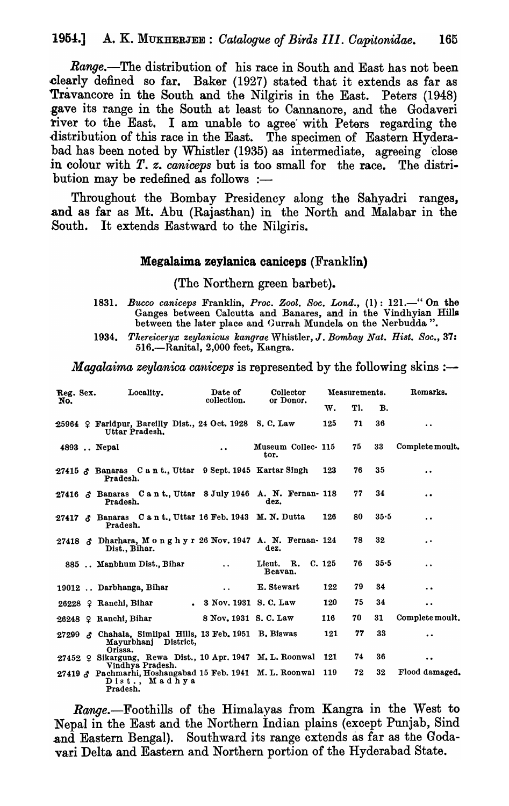Range.-The distribution of his race in South and East has not been clearly defined so far. Baker (1927) stated that it extends as far as Travancore in the South and the Nilgiris in the East. Peters (1948) .gave its range in the South at least to Cannanore, and the Godaveri river to the East. I am unable to agree' with Peters regarding the distribution of this race in the East. The specimen of Eastern Hyderabad has been noted by Whistler (1935) as intermediate, agreeing close in colour with *T. z. caniceps* but is too small for the race. The distribution may be redefined as follows  $:$ --

Throughout the Bombay Presidency along the Sahyadri ranges, and as far as Mt. Abu (Rajasthan) in the North and Malabar in the South. It extends Eastward to the Nilgiris.

#### Megalaima zeylanica caniceps (Franklin)

(The Northern green barbet).

- 1831. *Bucca caniceps* Franklin, *Proc. Zool. Soc. Land.,* (1): 121.-" On the Ganges between Calcutta and Banares, and in the Vindhyian Hilla between the later place and Gurrah Mundela on the Nerbudda".
- *1934. Tltereiceryx zeylanicus kangrae* 'Vhistler, J. *Bombay Nat. Bist. Soc., 37:*  516.-RanitaI, 2,000 feet, Kangra.

*Magalaima zeylanica caniceps* is represented by the following skins :—

|     | Locality.<br>Reg. Sex. |                                                                                                                | Date of                 | Collector<br>or Donor.     |        | Measurements. |           | Remarks.             |
|-----|------------------------|----------------------------------------------------------------------------------------------------------------|-------------------------|----------------------------|--------|---------------|-----------|----------------------|
| No. |                        |                                                                                                                | collection.             |                            | w.     | Tl.           | <b>B.</b> |                      |
|     |                        | 25964 $\Omega$ Faridpur, Barellly Dist., 24 Oct. 1928 S.C. Law<br>Uttar Pradesh.                               |                         |                            | 125    | 71            | 36        | $\ddot{\phantom{a}}$ |
|     |                        | 4893  Nepal                                                                                                    | $\ddot{\phantom{0}}$    | Museum Collec- 115<br>tor. |        | 75            | 33        | Complete moult.      |
|     |                        | 27415 & Banaras C a n t., Uttar 9 Sept. 1945 Kartar Singh<br>Pradesh.                                          |                         |                            | 123    | 76            | 35        | $\ddot{\phantom{0}}$ |
|     |                        | 27416 & Banaras Cant., Uttar 8 July 1946 A. N. Fernan- 118<br>Pradesh.                                         |                         | dez.                       |        | 77            | 34        | $\bullet$            |
|     |                        | 27417 $\delta$ Banaras C a n t., Uttar 16 Feb. 1943 M. N. Dutta<br>Pradesh.                                    |                         |                            | 126    | 80            | 35.5      | $\ddot{\phantom{0}}$ |
|     |                        | 27418 & Dharhara, Monghyr 26 Nov. 1947 A. N. Fernan- 124<br>Dist., Bihar.                                      |                         | dez.                       |        | 78            | 32        | $\cdot$ $\cdot$      |
|     |                        | 885  Manbhum Dist., Bihar                                                                                      | $\ddot{\phantom{a}}$    | Lieut. R.<br>Beavan.       | C. 125 | 76            | 35.5      | $\ddot{\phantom{a}}$ |
|     |                        | 19012  Darbhanga, Bihar                                                                                        | $\ddot{\phantom{a}}$    | E. Stewart                 | 122    | 79            | 34        | $\ddot{\phantom{a}}$ |
|     |                        | 26228 $\Omega$ Ranchi, Bihar                                                                                   | . 3 Nov. 1931 S. C. Law |                            | 120    | 75            | 34        | $\ddot{\phantom{0}}$ |
|     |                        | 26248 ? Ranchi, Bihar                                                                                          | 8 Nov. 1931 S. C. Law   |                            | 116    | 70            | 31        | Complete moult.      |
|     |                        | 27299 & Chahala, Simlipal Hills, 13 Feb. 1951 B. Biswas<br>Mayurbhanj District,<br>Orissa.                     |                         |                            | 121    | 77            | 33        | $\bullet$            |
|     |                        | 27452 ? Sikargung, Rewa Dist., 10 Apr. 1947 M. L. Roonwal                                                      |                         |                            | - 121  | 74            | 36        | $\bullet$            |
|     |                        | Vindhya Pradesh.<br>27419 & Pachmarhi, Hoshangabad 15 Feb. 1941 M. L. Roonwal 119<br>Dist., Madhya<br>Pradesh. |                         |                            |        | 72            | 32        | Flood damaged.       |

Range.-Foothills of the Himalayas from Kangra in the West to Nepal in the East and the Northern Indian plains (except Punjab, Sind and Eastern Bengal). Southward its range extends as far as the Godavari Delta and Eastern and Northern portion of the Hyderabad State.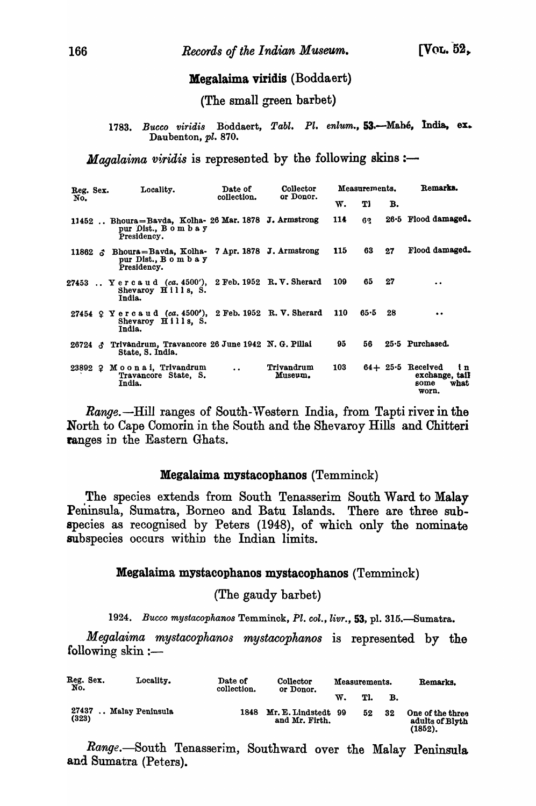## Megalaima viridis (Boddaert)

(The small green barbet)

1783. Bucco viridis Boddaert, Tabl. Pl. enlum., 53.-Mahé, India, ex. Daubenton, *pl. 870.* 

*Magalaima viridis* is represented by the following skins :-

|           | Locality.<br>Reg. Sex. |                                                                                            | Date of<br>collection. | Collector<br>or Donor. |     | Measurements. |      | Remarks.                                                                        |
|-----------|------------------------|--------------------------------------------------------------------------------------------|------------------------|------------------------|-----|---------------|------|---------------------------------------------------------------------------------|
| No.       |                        |                                                                                            |                        |                        | w.  | Tl            | в.   |                                                                                 |
|           |                        | 11452  Bhoura=Bavda, Kolha- 26 Mar. 1878 J. Armstrong<br>pur Dist., Bombay<br>Presidency.  |                        |                        | 114 | 62            |      | $26.5$ Flood damaged.                                                           |
| $11862$ ລ |                        | Bhoura=Bavda, Kolha- 7 Apr. 1878 J. Armstrong<br>pur Dist., B o m b a y<br>Presidency.     |                        |                        | 115 | 63            | 27   | Flood damaged.                                                                  |
|           |                        | 27453. Yercaud (ca. 4500'), 2 Feb. 1952 R.V. Sherard<br>Shevaroy Hills, S.<br>India.       |                        |                        | 109 | 65            | 27   | $\ddot{\phantom{1}}$                                                            |
|           |                        | 27454 ? Yercaud (ca. 4500'), 2 Feb. 1952 R. V. Sherard 110<br>Shevaroy Hills, S.<br>India. |                        |                        |     | 65.5          | - 28 | $\bullet$                                                                       |
| 26724 ፈ   |                        | Trivandrum, Travancore 26 June 1942 N. G. Pillai<br>State, S. India.                       |                        |                        | 95  | 56            |      | $25.5$ Purchased.                                                               |
|           |                        | 23892 ? Moonai, Trivandrum<br>Travancore State, S.<br>India.                               | $\ddot{\phantom{a}}$   | Trivandrum<br>Museum.  | 103 |               |      | $64 + 25.5$ Received<br>$\mathbf{u}$<br>exchange, tail<br>what<br>some<br>worn. |

*Range.*—Hill ranges of South-Western India, from Tapti river in the North to Cape Comorin in the South and the Shevaroy Hills and Chitteri ranges in the Eastern Ghats.

#### Megalaima mystacophanos (Temminck)

The species extends from South Tenasserim South Ward to Malay Peninsula, Sumatra, Borneo and Batu Islands. There are three subspecies as recognised by Peters (1948), of which only the nominate subspecies occurs within the Indian limits.

#### Megalaima mystacophanos mystacophanos (Temminck)

(The gaudy barbet)

*1924. Bucco mystacophanos* Temminok, Pl. *col., livr.,* 53, pI. 315.-Sumatra.

*Megalaima mystacophanos mystacophanos* is represented by the following  $\sin :=$ 

| Reg. Sex.<br>No. | Locality.       | Date of<br>collection. | Collector<br>or Donor.             | Measurements. |     |    | Remarks.                                          |
|------------------|-----------------|------------------------|------------------------------------|---------------|-----|----|---------------------------------------------------|
|                  |                 |                        |                                    | w.            | Tl. | в. |                                                   |
| 27437<br>(323)   | Malay Peninsula | 1848                   | Mr. E. Lindstedt<br>and Mr. Firth. | 99            | 52  | 32 | One of the three<br>adults of Blyth<br>$(1852)$ . |

Range.-South Tenasserim, Southward over the Malay Peninsula and Sumatra (Peters).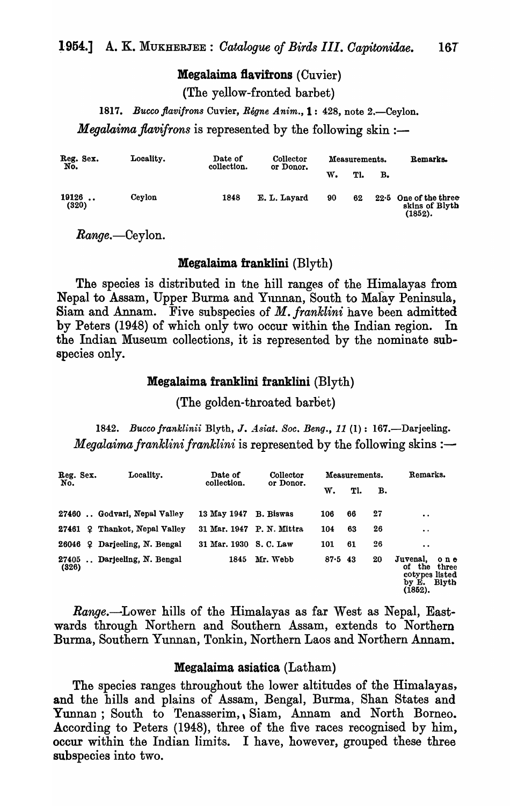#### Megalaima flavifrons (Cuvier)

(The yellow-fronted barbet)

1817. Bucco flavifrons Cuvier, *Régne Anim.*, 1: 428, note 2.—Ceylon.

*Megalaima flavifrons* is represented by the following skin :-

| Reg. Sex.<br>No. | Locality. | Date of<br>collection. | <b>Collector</b><br>or Donor. | Measurements. |     |    | Remarks.                                             |
|------------------|-----------|------------------------|-------------------------------|---------------|-----|----|------------------------------------------------------|
|                  |           |                        |                               | w.            | Tl. | в. |                                                      |
| 19126<br>(320)   | Cevlon    | 1848                   | E. L. Layard                  | 90            | 62  |    | $22.5$ One of the three<br>skins of Blyth<br>(1852). |

 $Range. -Ceylon.$ 

#### **Megalaima franklini** ( $Blyth$ )

The species is distributed in the hill ranges of the Himalayas from Nepal to Assam, Upper Burma and Yunnan, South to Malay Peninsula, Siam and Annam. Five subspecies of M. *franklini* have been admitted by Peters (1948) of which only two occur within the Indian region. In the Indian Museum collections, it is represented by the nominate subspecies only.

#### Megalaima franklini franklini (Blyth)

(The golden-throated barbet)

*1842. Bucco franklinii* Blyth, J. *A.siat. Soc. Beng.,* 11 (1): 167.-Darjeeling. *Megalaima franklini franklini* is represented by the following skins :-

| Reg. Sex.<br>No.            | Locality.                     | Date of<br>collection.    | Collector<br>or Donor. |        | Measurements. |    | Remarks.                                                                                          |
|-----------------------------|-------------------------------|---------------------------|------------------------|--------|---------------|----|---------------------------------------------------------------------------------------------------|
|                             |                               |                           |                        | w.     | Tl.           | в. |                                                                                                   |
|                             | 27460  Godvari, Nepal Valley  | 13 May 1947               | <b>B.</b> Biswas       | 106    | 66            | 27 | $\cdot$ $\cdot$                                                                                   |
|                             | 27461 2 Thankot, Nepal Valley | 31 Mar. 1947 P. N. Mittra |                        | 104    | 63            | 26 | $\ddot{\phantom{0}}$                                                                              |
| 26046                       | 2 Darjeeling, N. Bengal       | 31 Mar. 1930 S. C. Law    |                        | 101    | 61            | 26 | $\bullet$                                                                                         |
| 27405<br>$\ddotsc$<br>(326) | Darjeeling, N. Bengal         | 1845                      | Mr. Webb               | 87.543 |               | 20 | Juvenal.<br>$0$ n $e$<br>the<br>Οf<br>three<br>cotypes listed<br><b>Blyth</b><br>by E.<br>(1852). |

*Range.-Lower* hills of the Himalayas as far West as Nepal, Eastwards through Northern and Southern Assam, extends to Northern Burma, Southern Yunnan, Tonkin, Northern Laos and Northern Annam.

#### Megalaima asiatica (Latham)

The species ranges throughout the lower altitudes of the Himalayas, and the hills and plains of Assam, Bengal, Burma, Shan States and Yunnan; South to Tenasserim, Siam, Annam and North Borneo. According to Peters (1948), three of the five races recognised by him, occur within the Indian limits. I have, however, grouped these three subspecies into two.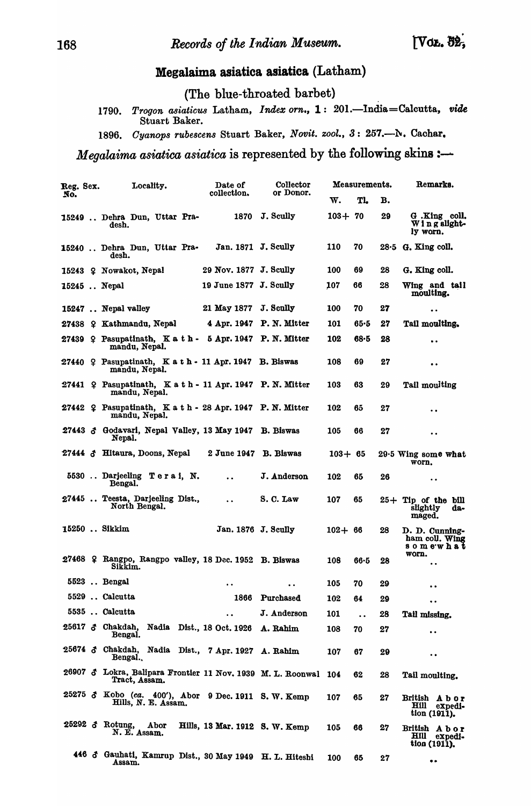# Megalaima asiatica asiatica (Latham)

(The blue-throated barbet)

1790. Trogon asiaticus Latham, *Index orn.*, 1: 201.-India=Calcutta, vide Stuart Baker.

1896. Cyanops rubescens Stuart Baker, *Novit. zool.*, 3: 257.--N. Cachar.

*Megalaima asiatica asiatica* is represented by the following skins :-

| Reg. Sex. | Locality.                                                                            | Date of                            | Collector                |            | Measurements.        |    | Remarks.                                           |
|-----------|--------------------------------------------------------------------------------------|------------------------------------|--------------------------|------------|----------------------|----|----------------------------------------------------|
| No.       |                                                                                      | collection.                        | or Donor.                | w.         | Tl.                  | в. |                                                    |
|           | 15249  Dehra Dun, Uttar Pra-<br>desh.                                                | 1870                               | J. Scully                | $103 + 70$ |                      | 29 | G.King coll.<br>Wing slight-<br>ly worn.           |
|           | 15240  Dehra Dun, Uttar Pra-<br>desh.                                                | Jan. 1871 J. Scully                |                          | 110        | 70                   |    | $28.5$ G. King coll.                               |
|           | 15243 ? Nowakot, Nepal                                                               | 29 Nov. 1877 J. Scully             |                          | 100        | 69                   | 28 | G. King coll.                                      |
|           | $15245$ Nepal                                                                        | 19 June 1877 J. Scully             |                          | 107        | 66                   | 28 | Wing and tail<br>moulting.                         |
|           | 15247  Nepal valley                                                                  | 21 May 1877 J. Scully              |                          | 100        | 70                   | 27 | $\ddot{\phantom{0}}$                               |
|           | 27438 ? Kathmandu, Nepal                                                             |                                    | 4 Apr. 1947 P. N. Mitter | 101        | 65.5                 | 27 | Tail moulting.                                     |
|           | 27439 & Pasupatinath, K a t h - 5 Apr. 1947 P. N. Mitter<br>mandu, Nepal.            |                                    |                          | 102        | 68.5                 | 28 | $\bullet$                                          |
|           | 27440 $\Omega$ Pasupatinath, K a t h $\cdot$ 11 Apr. 1947 B. Biswas<br>mandu, Nepal. |                                    |                          | 108        | 69                   | 27 | $\bullet$                                          |
|           | 27441 $\varphi$ Pasupatinath, K a t h - 11 Apr. 1947 P. N. Mitter<br>mandu, Nepal.   |                                    |                          | 103        | 63                   | 29 | Tail moulting                                      |
|           | 27442 ? Pasupatinath, K a t h - 28 Apr. 1947 P. N. Mitter<br>mandu, Nepal.           |                                    |                          | 102        | 65                   | 27 | . .                                                |
|           | 27443 & Godavari, Nepal Valley, 13 May 1947 B. Biswas<br>Nepal.                      |                                    |                          | 105        | 66                   | 27 | $\bullet$                                          |
|           | 27444 & Hitaura, Doons, Nepal                                                        | 2 June 1947 B. Biswas              |                          | $103 + 65$ |                      |    | 29.5 Wing some what<br>worn.                       |
|           | 5530  Darjeeling Terai, N.<br>Bengal.                                                | $\bullet$                          | J. Anderson              | 102        | 65                   | 26 | $\bullet\hspace{0.4mm}\bullet\hspace{0.4mm}$       |
|           | 27445  Teesta, Darjeeling Dist.,<br>North Bengal.                                    | $\ddot{\phantom{a}}$               | S.C. Law                 | 107        | 65                   |    | $25+$ Tip of the bill<br>slightly<br>da-<br>maged. |
|           | 15250  Sikkim                                                                        | Jan. 1876 J. Scully                |                          | $102 + 66$ |                      | 28 | D. D. Cunning-<br>ham coll. Wing<br>somewhat       |
|           | 27468 9 Rangpo, Rangpo valley, 18 Dec. 1952 B. Biswas<br>Sikkim.                     |                                    |                          | 108        | $66 - 5$             | 28 | worn.<br>$\ddot{\phantom{0}}$                      |
|           | 5523  Bengal                                                                         | $\cdot \cdot$                      | $\bullet\bullet$         | 105        | 70                   | 29 |                                                    |
|           | 5529  Calcutta                                                                       |                                    | 1866 Purchased           | 102        | 64                   | 29 | $\bullet\; \bullet$                                |
|           | 5535  Calcutta                                                                       | $\ddot{\phantom{a}}$               | J. Anderson              | 101        | $\ddot{\phantom{a}}$ | 28 | Tail missing.                                      |
|           | 25617 3 Chakdah,<br>Bengal.                                                          | Nadia Dist., 18 Oct. 1926 A. Rahim |                          | 108        | 70                   | 27 | $\bullet\hspace{0.4mm}\bullet\hspace{0.4mm}$       |
|           | 25674 & Chakdah, Nadia Dist., 7 Apr. 1927 A. Rahim<br>Bengal.                        |                                    |                          | 107        | 67                   | 29 | $\bullet$                                          |
| 26907 ♂   | Lokra, Balipara Frontier 11 Nov. 1939 M. L. Roonwal<br>Tract, Assam.                 |                                    |                          | 104        | 62                   | 28 | Tail moulting.                                     |
|           | 25275 & Kobo (ca. 400'), Abor 9 Dec. 1911 S. W. Kemp<br>Hills, N. E. Assam.          |                                    |                          | 107        | 65                   | 27 | British Abor<br>Hill expedi-<br>tion (1911).       |
| 25292 3   | Rotung,<br>Abor<br>N. E. Assam.                                                      | Hills, 13 Mar. 1912 S. W. Kemp     |                          | 105        | 66                   | 27 | British Abor<br>Hill expedi-<br>tion (1911).       |
|           | 446 & Gauhati, Kamrup Dist., 30 May 1949 H. L. Hiteshi<br>Assam.                     |                                    |                          | 100        | 65                   | 27 | $\bullet$ $\bullet$                                |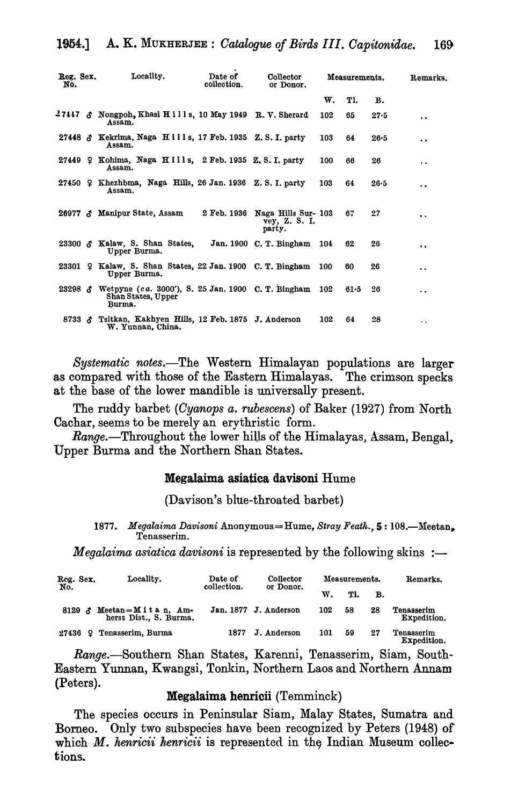| Reg. Sex.<br>No.   |                    | Locality.                                                                              | Date of<br>collection. | Collector<br>or Donor.                                     | Measurements. |          |          | Remarks.             |
|--------------------|--------------------|----------------------------------------------------------------------------------------|------------------------|------------------------------------------------------------|---------------|----------|----------|----------------------|
|                    |                    |                                                                                        |                        |                                                            | W.            | Tl.      | в.       |                      |
|                    |                    | $27447 \text{ } \text{\&}$ Nongpoh, Khasi Hills, 10 May 1949 R.V. Sherard<br>Assam.    |                        |                                                            | 102           | 65       | 27.5     | $\ddot{\phantom{0}}$ |
|                    |                    | 27448 & Kekrima, Naga Hills, 17 Feb. 1935 Z.S.I. party<br>Assam.                       |                        |                                                            | 103           | 64       | $26 - 5$ | . .                  |
|                    |                    | 27449 $\Omega$ Kohima, Naga Hills, 2 Feb. 1935 Z.S.I. party<br>Assam.                  |                        |                                                            | 100           | 66       | 26       | . .                  |
|                    |                    | 27450 $\Omega$ Khezhbma, Naga Hills, 26 Jan. 1936 Z.S.I. party<br>Assam.               |                        |                                                            | 103           | 64       | 26.5     | $\bullet$            |
|                    |                    | 26977 & Manipur State, Assam                                                           |                        | 2 Feb. 1936 Naga Hills Sur- 103<br>vey, Z. S. I.<br>party. |               | 67       | 27       | $\cdot$              |
|                    |                    | 23300 $\delta$ Kalaw, S. Shan States,<br>Upper Burma.                                  |                        | Jan. 1900 C. T. Bingham 104                                |               | 62       | 26       | $\bullet$            |
|                    |                    | 23301 9 Kalaw, S. Shan States, 22 Jan. 1900 C. T. Bingham<br>Upper Burma.              |                        |                                                            | <b>100</b>    | 60       | 26       | . .                  |
| 23298 <sub>o</sub> |                    | Wetpyne (ca. 3000'), S. 25 Jan. 1900 C. T. Bingham 102<br>Shan States, Upper<br>Burma. |                        |                                                            |               | $61 - 5$ | 26       | $\ddot{\phantom{a}}$ |
|                    | $8733 \; \; \; \;$ | Tsitkan, Kakhyen Hills, 12 Feb. 1875 J. Anderson<br>W. Yunnan, China.                  |                        |                                                            | 102           | 64       | 28       | ۰.                   |

*Systematic notes.-The* Western Himalayan populations are larger as compared with those of the Eastern Himalayas. The crimson specks at the base of the lower mandible is universally present.

The ruddy barbet *(Oyanops a. rubescens)* of Baker (1927) from North Cachar, seems to be merely an erythristic form.

*Range.*—Throughout the lower hills of the Himalayas, Assam, Bengal, Upper Burma and the Northern Shan States.

#### Megalaima asiatica davisoni Hume

(Davison's blue-throated barbet)

1877. Megalaima Davisoni Anonymous.=Hume, *Stray Feath.*, 5: 108.—Meetan, Tenasserim.

*Megalaima asiatica davisoni* is represented by the following skins :-

| Reg. Sex.   | Locality.                                          | Date of<br>collection. | Collector<br>or Donor. |     | Measurements. | Remarks. |                           |
|-------------|----------------------------------------------------|------------------------|------------------------|-----|---------------|----------|---------------------------|
| No.         |                                                    |                        |                        | W.  | Tl.           | в.       |                           |
|             | 8129 & Meetan=Mitan, Am-<br>herst Dist., S. Burma. |                        | Jan. 1877 J. Anderson  | 102 | 58            | 28       | Tenasserim<br>Expedition. |
| 9.<br>27436 | Tenasserim, Burma                                  | 1877                   | J. Anderson            | 101 | 59            | 27       | Tenasserim<br>Expedition. |

Range.-Southern Shan States, Karenni, Tenasserim, Siam, South-Eastern Yunnan, Kwangsi, Tonkin, Northern Laos and Northern Annam (Peters).

## Megalaima henricii (Temminck)

The species occurs in Peninsular Siam, Malay States, Sumatra and Borneo. Only two subspecies have been recognized by Peters (1948) of which *M. henricii henricii* is represented in the Indian Museum collections.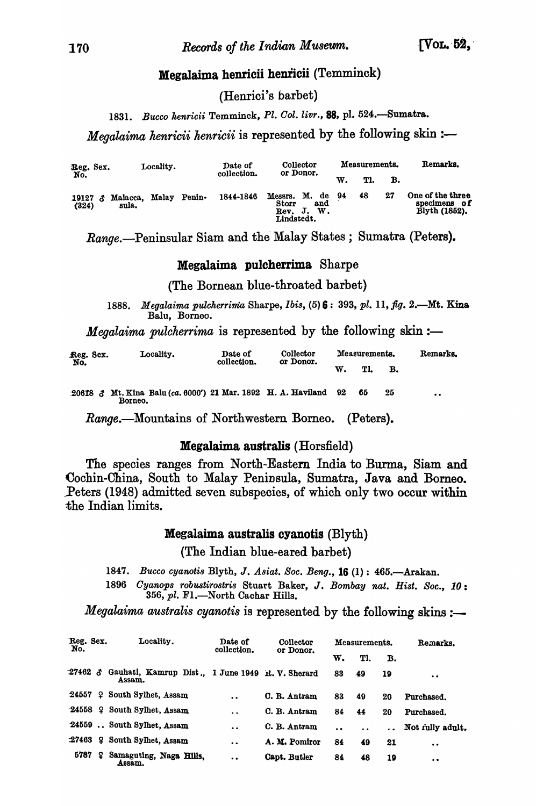## Megalaima henricii henricii (Temminck)

(Henrici's barbet)

1831. Bucco henricii Temminck, *Pl. Col. livr.*, **88**, pl. 524.-Sumatra.

*Megalaima henricii henricii* is represented by the following skin :-

| Reg. Sex.<br>No.        |                         | Locality. |        | Date of   | Collector<br>or Donor.                          |             | Measurements. |    |    | Remarks.                                          |
|-------------------------|-------------------------|-----------|--------|-----------|-------------------------------------------------|-------------|---------------|----|----|---------------------------------------------------|
|                         | collection.             |           |        |           | w.                                              | Tl.         | в.            |    |    |                                                   |
| 19127 $\alpha$<br>(324) | Malacca, Malay<br>sula. |           | Penin- | 1844-1846 | Messrs. M. de 94<br>Storr<br>Rev.<br>Lindstedt. | and<br>J.W. |               | 48 | 27 | One of the three<br>specimens of<br>Blyth (1852). |

Range.--Peninsular Siam and the Malay States; Sumatra (Peters).

#### Megalaima pulcherrima Sharpe

(The Bornean blue-throated barbet)

*1888. Megalaima pulcherrima* Sharpe, *Ibis,* (5) 6: 393, *pl.* 11, *jig.* 2.-Mt. Kina Balu, Borneo.

*Megalaima pulcherrima* is represented by the following skin :-

| Reg. Sex.<br>No. | Locality. |                                                                             | Date of<br>collection. | Collector<br>or Donor. | Measurements. | Remarks. |  |    |    |                  |
|------------------|-----------|-----------------------------------------------------------------------------|------------------------|------------------------|---------------|----------|--|----|----|------------------|
|                  |           |                                                                             |                        | Tl.                    | в.            |          |  |    |    |                  |
|                  |           | 20618 & Mt. Kina Balu (ca. 6000') 21 Mar. 1892 H. A. Haviland 92<br>Borneo. |                        |                        |               |          |  | 65 | 25 | $\bullet\bullet$ |

Range.-Mountains of Northwestern Borneo. (Peters).

#### Megalaima australis (Horsfield)

The species ranges from North-Eastern India to Burma, Siam and Cochin-China, South to Malay Peninsula, Sumatra, Java and Borneo. Peters (1948) admitted seven subspecies, of which only two occur within the Indian limits.

#### Megalaima australis cyanotis (Blyth)

(The Indian blue-eared barbet)

1847. Bucco cyanotis Blyth, *J. Asiat. Soc. Beng.*, **16** (1): 465.—Arakan.

1896 *Cyanops robustirostris* Stuart Baker, J. *Bombay nat. Hist. Soc.*, 10: 356, pl. F1.-North Cachar Hills.

*Megalaima australis cyanotis* is represented by the following skins :-

| Reg. Sex.<br>No. |   | Locality.                                                         | Date of<br>collection. | Collector<br>or Donor. |                      | Measurements.        |    | Remarks.         |
|------------------|---|-------------------------------------------------------------------|------------------------|------------------------|----------------------|----------------------|----|------------------|
|                  |   |                                                                   |                        |                        | w.                   | T1.                  | В. |                  |
|                  |   | 27462 & Gauhati, Kamrup Dist., 1 June 1949 R.V. Sherard<br>Assam. |                        |                        | 83                   | -49                  | 19 | $\bullet$        |
| 24557            |   | 9 South Sylhet, Assam                                             | $\bullet$              | C. B. Antram           | 83                   | 49                   | 20 | Purchased.       |
|                  |   | $24558$ ? South Sylhet, Assam                                     | $\ddot{\phantom{a}}$   | C. B. Antram           | 84                   | 44                   | 20 | Purchased.       |
|                  |   | 24559  South Sylhet, Assam                                        | $\ddot{\phantom{a}}$   | C. B. Antram           | $\ddot{\phantom{a}}$ | $\ddot{\phantom{a}}$ |    | Not fully adult. |
| :27463           |   | 2 South Sylhet, Assam                                             | $\bullet$              | A. M. Pomiror          | 84                   | 49                   | 21 | $\bullet$        |
| 5787             | £ | Samaguting, Naga Hills,<br>Assam.                                 | $\bullet$              | Capt. Butler           | 84                   | 48                   | 19 | $\bullet$        |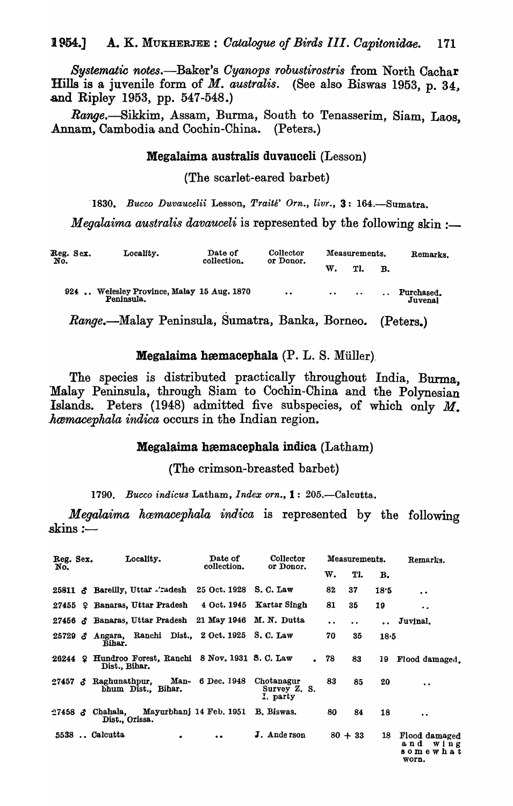*Systematic* notes.-Baker's *Oyanops robustirostris* from North Cachar Hills is a juvenile form of *M. australis.* (See also Biswas 1953, p. 34, and Ripley 1953, pp. 547-548.)

*Range.-Sikkim,* Assam, Burma, South to Tenasserim, Siam, Laos, Annam, Cambodia and Cochin-China. (Peters.)

#### Megalaima australis duvauceli (Lesson)

(The scarlet-eared barbet)

'1830. *Bucco Duvaucelii* Lesson, *Traite' Orn., livr.,* 3: 164.-Sumatra.

*Megalaima australis davauceli* is represented by the following skin :-

| Reg. Sex.<br>No. | Locality.                                                | Date of<br>collection. | Collector<br>or Donor. |                      | Measurements. | Remarks. |                       |
|------------------|----------------------------------------------------------|------------------------|------------------------|----------------------|---------------|----------|-----------------------|
|                  |                                                          |                        |                        | w.                   | Tl.           | в.       |                       |
|                  | 924  Welesley Province, Malay 15 Aug. 1870<br>Peninsula. |                        | $\bullet$              | $\ddot{\phantom{a}}$ | $\bullet$     |          | Purchased.<br>Juvenal |

*Range.-Malay* Peninsula, Sumatra, Banka, Borneo. (Peters.)

#### $Megalaima$  hæmacephala  $(P. L. S.$  Müller)

The species is distributed practically throughout India, Burma, Malay Peninsula, through Siam to Cochin-China and the Polynesian Islands. Peters (1948) admitted five subspecies, of which only M. *hamacephala indica* occurs in the Indian region.

#### Megalaima hæmacephala indica (Latham)

(The crimson-breasted barbet)

1790. Bucco indicus Latham, *Index orn.*, **1**: 205. - Calcutta.

*Megalaima hwmacephala indica* is represented by the following  $\sin s :=$ 

| Reg. Sex.<br>No. |  | Locality.                                                           | Date of<br>collection.  | Collector<br>or Donor.                 |                 | Measurements. |      | Remarks.                                       |
|------------------|--|---------------------------------------------------------------------|-------------------------|----------------------------------------|-----------------|---------------|------|------------------------------------------------|
|                  |  |                                                                     |                         |                                        | w.              | Tl.           | в.   |                                                |
|                  |  | 25811 $\sigma$ Barelly, Uttar $\Delta$ radesh                       | 25 Oct. 1928            | S. C. Law                              | 82              | 37            | 18:5 | $\bullet$                                      |
|                  |  | 27455 9 Banaras, Uttar Pradesh 4 Oct. 1945 Kartar Singh             |                         |                                        | 81              | 35            | 19   | $\bullet$                                      |
|                  |  | 27456 & Banaras, Uttar Pradesh 21 May 1946 M. N. Dutta              |                         |                                        | $\bullet$       | $\bullet$     |      | Juvinal.                                       |
|                  |  | 25729 3 Angara, Ranchi Dist., 2 Oct. 1925 S.C. Law<br><b>Bihar.</b> |                         |                                        | 70              | 35            | 18.5 |                                                |
| $26244$ $\Omega$ |  | Hundroo Forest, Ranchi 8 Nov. 1931 S. C. Law<br>Dist., Bihar.       |                         |                                        | 78<br>$\bullet$ | 83            | 19   | Flood damaged.                                 |
| $27457$ $\sigma$ |  | Raghunathpur,<br>bhum Dist., Bihar.                                 | Man- 6 Dec. 1948        | Chotanagur<br>Survey Z. S.<br>I. party | 83              | 85            | 20   | $\ddot{\phantom{1}}$                           |
| $27458$ 8        |  | Chahala,<br>Dist., Orissa.                                          | Mayurbhanj 14 Feb. 1951 | B. Biswas.                             | 80              | 84            | 18   | $\cdot$ .                                      |
|                  |  | 5538  Calcutta<br>$\bullet$                                         | $\bullet$               | J. Anderson                            |                 | $80 + 33$     | 18   | Flood damaged<br>and wing<br>somewhat<br>worn. |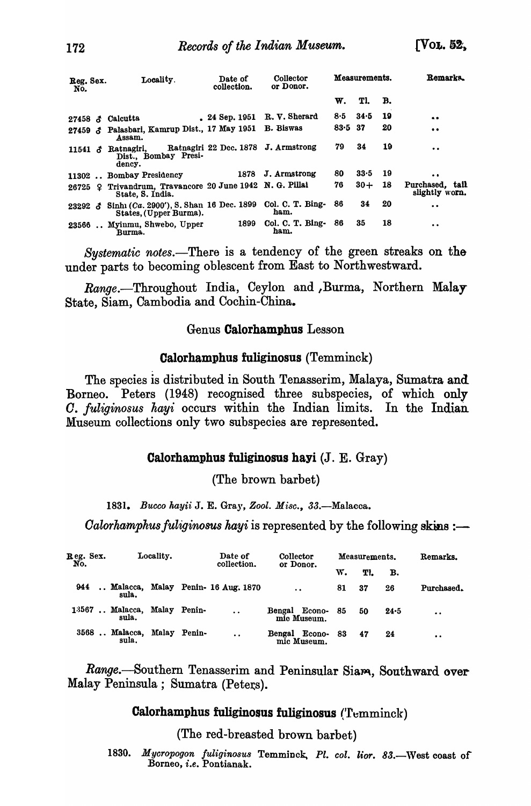| Reg. Sex.<br>No. | Date of<br>Locality.<br>collection.                                             |              | Collector<br>or Donor.              |           | Measurements. |     | Remarks.                          |
|------------------|---------------------------------------------------------------------------------|--------------|-------------------------------------|-----------|---------------|-----|-----------------------------------|
|                  |                                                                                 |              |                                     | W.        | Tl.           | B.  |                                   |
|                  | 27458 $\delta$ Calcutta                                                         | 24 Sep. 1951 | R. V. Sherard                       | 8.5       | 34.5          | 19  | $\bullet\bullet$                  |
| $27459 \; \; \;$ | Palasbari, Kamrup Dist., 17 May 1951<br>Assam.                                  |              | <b>B.</b> Biswas                    | $83.5$ 37 |               | 20  | $\bullet$                         |
|                  | 11541 $\delta$ Ratnagiri,<br>Dist., Bombay Presi-<br>dency.                     |              | Ratnagiri 22 Dec. 1878 J. Armstrong | 79        | 34            | 19  | $\bullet\bullet$                  |
|                  | 11302  Bombay Presidency                                                        | 1878         | J. Armstrong                        | 80        | 33.5          | -19 | $\bullet$                         |
| 26725 ♀          | Trivandrum, Travancore 20 June 1942 N. G. Pillai<br>State, S. India.            |              |                                     | 76        | $30 +$        | 18  | Purchased, tail<br>slightly worn. |
|                  | 23292 $\delta$ Sinh (Ca. 2900'), S. Shan 16 Dec. 1899<br>States, (Upper Burma). |              | Col. C. T. Bing-<br>ham.            | 86        | 34            | 20  | $\bullet$                         |
|                  | 23566  Myinmu, Shwebo, Upper<br>Burma.                                          | 1899         | Col. C. T. Bing- 86<br>ham.         |           | 35            | 18  | $\bullet$                         |

*Systematic notes.-There* is a tendency of the green streaks on the under parts to becoming oblescent from East to Northwestward.

*Range.-Throughout* India, Ceylon and ,Burma, Northern Malay State, Siam, Cambodia and Cochin-China.

#### Genus Calorhamphus Lesson

#### Calorhamphus fuliginosus (Temminck)

The species is distributed in South Tenasserim, Malaya, Sumatra and Borneo. Peters (1948) recognised three subspecies, of which only *O. fuliginosus hayi* occurs within the Indian limits. In the Indian Museum collections only two subspecies are represented.

#### Calorhamphus fuliginosus hayi (J. E. Gray)

(The brown barbet)

*1831. Buooo kayii* J. E. Gray, *Zool. Mi8o.,* 33.-Malacca.

*Calorhamphus fuliginosus hayi* is represented by the following skins :—

| Reg. Sex.<br>No. |                                       | Locality. |  | Date of<br>collection.             | Collector<br>or Donor.       |    | Measurements. | Remarks. |            |
|------------------|---------------------------------------|-----------|--|------------------------------------|------------------------------|----|---------------|----------|------------|
|                  |                                       |           |  |                                    |                              | w. | TI.           | в.       |            |
| 944              | sula.                                 |           |  | Malacca, Malay Penin- 16 Aug. 1870 | $\ddot{\phantom{a}}$         | 81 | 37            | 26       | Purchased. |
|                  | 13567  Malacca, Malay Penin-<br>sula. |           |  | $\ddot{\phantom{a}}$               | Bengal Econo-<br>mic Museum. | 85 | 50            | $24 - 5$ | $\bullet$  |
|                  | 3568  Malacca, Malay Penin-<br>sula.  |           |  | $\ddot{\phantom{a}}$               | Bengal Econo-<br>mic Museum. | 83 | 47            | 24       | $\bullet$  |

Range.-Southern Tenasserim and Peninsular Siam, Southward over Malay Peninsula; Sumatra (Peters).

#### Calorhamphus fuliginosus fuliginosus (Temminck)

(The red-breasted brown barbet)

1830. Mycropogon fuliginosus Temminck, Pl. col. lior. 83.-West coast of Borneo, *i.e.* Pontianak.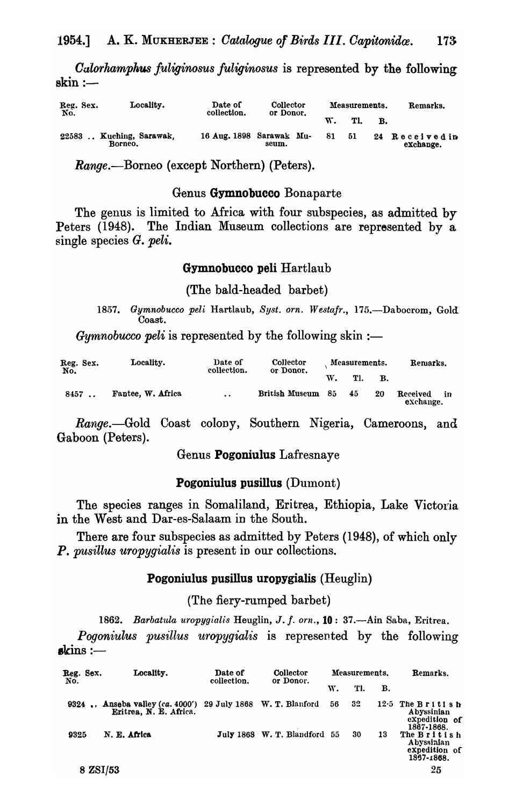*Oalorhamphus fuliginosus fuliginosus* is represented by the following  $\sin :=$ 

| Reg. Sex.<br>No. | Locality.                    | Date of<br>collection.   | Collector<br>or Donor. |  | Measurements. |     |    | Remarks.                    |
|------------------|------------------------------|--------------------------|------------------------|--|---------------|-----|----|-----------------------------|
|                  |                              |                          |                        |  |               | Tl. | В. |                             |
| 22583            | Kuching, Sarawak,<br>Borneo. | 16 Aug. 1898 Sarawak Mu- | seum.                  |  | 81            | -51 |    | 24 Received in<br>exchange. |

Range.--Borneo (except Northern) (Peters).

#### Genus Gymnobucco Bonaparte

The genus is limited to Africa with four subspecies, as admitted by Peters (1948). The Indian Museum collections are represented by a single species G. *peli.* 

#### Gymnobucco peli Hartlaub

(The bald-headed barbet)

1857. Gymnobucco peli Hartlaub, Syst. orn. Westafr., 175.-Dabocrom, Gold Coast.

*Gymnobucco peli* is represented by the following skin :-

| Reg. Sex.<br>No. | Locality.         | Date of<br>collection. | Collector<br>or Donor. |     | Measurements. |    | Remarks.              |    |
|------------------|-------------------|------------------------|------------------------|-----|---------------|----|-----------------------|----|
|                  |                   |                        |                        | W.  | TI.           | В. |                       |    |
| 8457             | Fantee, W. Africa | $\bullet$              | <b>British Museum</b>  | -85 | 45            | 20 | Received<br>exchange. | in |

*Range.*—Gold Coast colony, Southern Nigeria, Cameroons, and Gaboon (Peters).

Genus Pogoniulus Lafresnaye

#### Pogoniulus pusillus (Dumont)

The species ranges in Somaliland, Eritrea, Ethiopia, Lake Victoria in the West and Dar-es-Salaam in the South.

There are four subspecies as admitted by Peters (1948), of which only P. *pusillus uropygialis* is present in our collections.

#### Pogoniulus pusillus uropygialis (Heuglin)

(The fiery-rumped barbet)

1862. Barbatula uropygialis Heuglin, J. f. orn., 10: 37.-Ain Saba, Eritrea.

*Pogoniulus pusillus uropygialis* is represented by the following  $\boldsymbol{\mathrm{s}}$  kins :—

| Reg. Sex.<br>No. | Locality.                                                                              | Date of<br>collection. | Collector<br>or Donor.       | Measurements. |     |    | Remarks.                                                        |
|------------------|----------------------------------------------------------------------------------------|------------------------|------------------------------|---------------|-----|----|-----------------------------------------------------------------|
|                  |                                                                                        |                        |                              | W.            | TI. | В. |                                                                 |
|                  | 9324  Anseba valley $(ca.4000')$ 29 July 1868 W. T. Blanford<br>Eritrea, N. E. Africa. |                        |                              | 56            | 32  |    | $12.5$ The British<br>Abyssinian<br>expedition of<br>1867-1868. |
| 9325             | N. E. Africa                                                                           |                        | July 1868 W. T. Blandford 55 |               | 30  | 13 | The British<br>Abyssinian<br>expedition of<br>1867-1868.        |
| 8 ZSI/53         |                                                                                        |                        |                              |               |     |    | 25                                                              |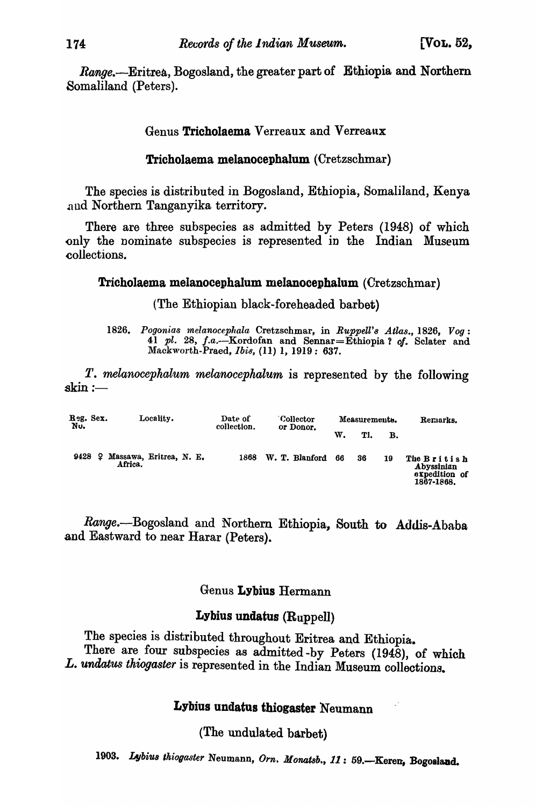Range.--Eritrea, Bogosland, the greater part of Ethiopia and Northern Somaliland (Peters).

Genus Tricholaema Verreaux and Verreanx

## Tricholaema melanocephalum (Cretzschmar)

The species is distributed in Bogosland, Ethiopia, Somaliland, Kenya and Northern Tanganyika territory.

There are three subspecies as admitted by Peters (1948) of which only the nominate subspecies is represented in the Indian Museum collections.

#### Tricholaema melanocephalum melanocephalum (Cretzschmar)

(The Ethiopian black-foreheaded barbet)

1826. Pogonias melanocephala Cretzschmar, in *Ruppell's Atlas.*, 1826, Vog: 41 pl. 28, J.a.--Kordofan and Sennar=Ethiopia? *01.* Sclater and Mackworth-Praed, *Ibis*, (11) 1, 1919: 637.

*T. melanocephalum melanocephalum* is represented by the following  $\operatorname{skin}:=$ 

| Reg. Sex.<br>Nu. | Locality.                          | Date of<br>collection. |                | Measurements. |     |    | Remarks.                                                 |
|------------------|------------------------------------|------------------------|----------------|---------------|-----|----|----------------------------------------------------------|
|                  |                                    |                        | or Donor.      | w.            | TI. | в. |                                                          |
| 9428<br>92.      | Massawa, Eritrea, N. E.<br>Africa. | 1868                   | W. T. Blanford | 66            | 36  | 19 | The British<br>Abyssinian<br>expedition of<br>1867-1868. |

Range.-Bogosland and Northern Ethiopia, South to Addis-Ababa and Eastward to near Harar (Peters).

## Genus Lybius Hermann

## Lybius undatus (Ruppell)

The species is distributed throughout Eritrea and Ethiopia. There are four subspecies as admitted -by Peters (1948), of which L. undatus thiogaster is represented in the Indian Museum collections.

## Lybius undatus thiogaster Neumann

(The undulated barbet)

1903. Lybius thiogaster Neumann, Orn. Monatsb., 11: 59.-Keren, Bogosland.